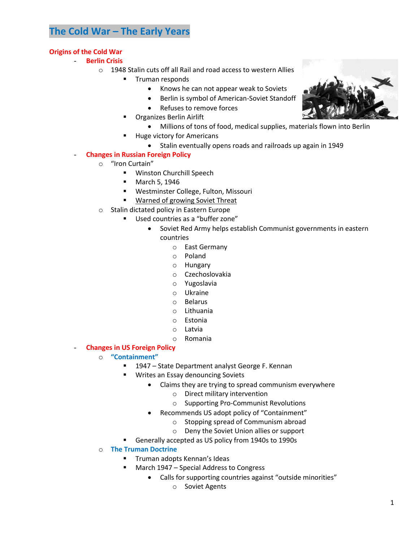# **The Cold War – The Early Years**

## **Origins of the Cold War**

- **Berlin Crisis**
	- o 1948 Stalin cuts off all Rail and road access to western Allies
		- **Truman responds** 
			- Knows he can not appear weak to Soviets
				- Berlin is symbol of American-Soviet Standoff
				- Refuses to remove forces
		- Organizes Berlin Airlift
			- Millions of tons of food, medical supplies, materials flown into Berlin
		- Huge victory for Americans
			- Stalin eventually opens roads and railroads up again in 1949

#### - **Changes in Russian Foreign Policy**

- o "Iron Curtain"
	- **Winston Churchill Speech**
	- **March 5, 1946**
	- Westminster College, Fulton, Missouri
	- **Warned of growing Soviet Threat**
- o Stalin dictated policy in Eastern Europe
	- Used countries as a "buffer zone"
		- Soviet Red Army helps establish Communist governments in eastern countries
			- o East Germany
			- o Poland
			- o Hungary
			- o Czechoslovakia
			- o Yugoslavia
			- o Ukraine
			- o Belarus
			- o Lithuania
			- o Estonia
			- o Latvia
			- o Romania
- **Changes in US Foreign Policy**
	- o **"Containment"**
		- 1947 State Department analyst George F. Kennan
		- Writes an Essay denouncing Soviets
			- Claims they are trying to spread communism everywhere
				- o Direct military intervention
				- o Supporting Pro-Communist Revolutions
			- Recommends US adopt policy of "Containment"
				- o Stopping spread of Communism abroad
				- o Deny the Soviet Union allies or support
		- Generally accepted as US policy from 1940s to 1990s
	- o **The Truman Doctrine**
		- **Truman adopts Kennan's Ideas**
		- March 1947 Special Address to Congress
			- Calls for supporting countries against "outside minorities"
				- o Soviet Agents

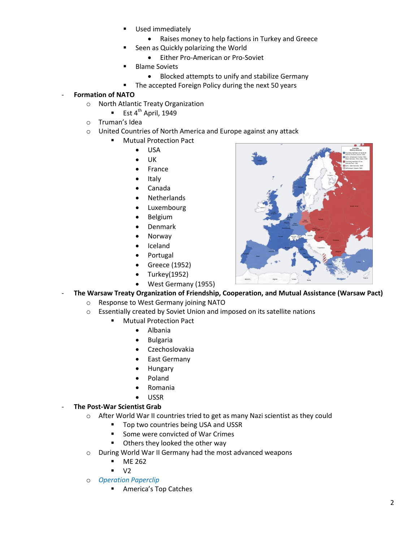- Used immediately
	- Raises money to help factions in Turkey and Greece
- Seen as Quickly polarizing the World
	- Either Pro-American or Pro-Soviet
- **Blame Soviets** 
	- Blocked attempts to unify and stabilize Germany
- **The accepted Foreign Policy during the next 50 years**

# - **Formation of NATO**

- o North Atlantic Treaty Organization
	- Est  $4^{th}$  April, 1949
- o Truman's Idea
- o United Countries of North America and Europe against any attack
	- **Mutual Protection Pact** 
		- USA
		- UK
		- France
		- Italy
		- Canada
		- Netherlands
		- Luxembourg
		- Belgium
		- Denmark
		- Norway
		- Iceland
		- Portugal
		- Greece (1952)
		- Turkey(1952)
		- West Germany (1955)



- o Response to West Germany joining NATO
- o Essentially created by Soviet Union and imposed on its satellite nations
	- Mutual Protection Pact
		- Albania
		- Bulgaria
		- Czechoslovakia
		- East Germany
		- Hungary
		- Poland
		- Romania
		- USSR

#### **The Post-War Scientist Grab**

- o After World War II countries tried to get as many Nazi scientist as they could
	- Top two countries being USA and USSR
	- Some were convicted of War Crimes
	- **Others they looked the other way**
- o During World War II Germany had the most advanced weapons
	- **ME 262**
	- V2
- o *Operation Paperclip*
	- America's Top Catches

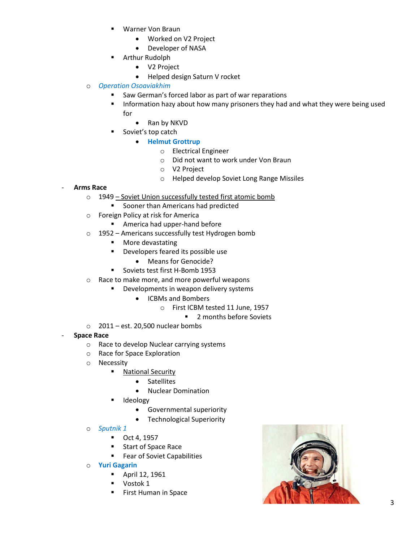- Warner Von Braun
	- Worked on V2 Project
	- Developer of NASA
- **E** Arthur Rudolph
	- V2 Project
	- Helped design Saturn V rocket
- o *Operation Osoaviakhim*
	- Saw German's forced labor as part of war reparations
	- **Information hazy about how many prisoners they had and what they were being used** for
		- Ran by NKVD
		- Soviet's top catch
			- **•** Helmut Grottrup
				- o Electrical Engineer
				- o Did not want to work under Von Braun
				- o V2 Project
				- o Helped develop Soviet Long Range Missiles

## - **Arms Race**

- o 1949 Soviet Union successfully tested first atomic bomb
	- **Sooner than Americans had predicted**
- o Foreign Policy at risk for America
	- **America had upper-hand before**
- o 1952 Americans successfully test Hydrogen bomb
	- **More devastating**
	- **•** Developers feared its possible use
		- Means for Genocide?
	- Soviets test first H-Bomb 1953
- o Race to make more, and more powerful weapons
	- **•** Developments in weapon delivery systems
		- ICBMs and Bombers
			- o First ICBM tested 11 June, 1957
				- 2 months before Soviets
- $\circ$  2011 est. 20,500 nuclear bombs
- **Space Race**
	- o Race to develop Nuclear carrying systems
	- o Race for Space Exploration
	- o Necessity
		- **National Security** 
			- Satellites
			- Nuclear Domination
		- Ideology
			- Governmental superiority
			- Technological Superiority
	- o *Sputnik 1*
		- Oct 4, 1957
		- **Start of Space Race**
		- **Fear of Soviet Capabilities**
	- o **Yuri Gagarin**
		- April 12, 1961
		- **Vostok 1**
		- First Human in Space

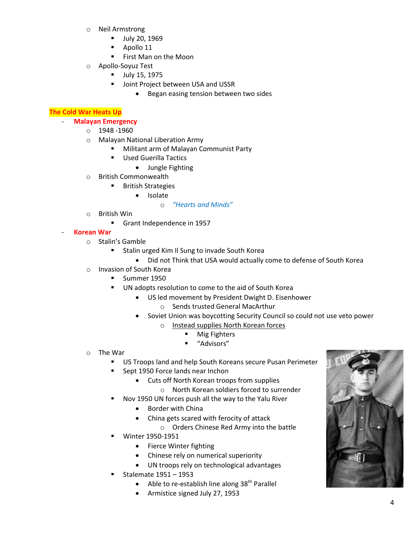- o Neil Armstrong
	- **July 20, 1969**
	- **Apollo 11**
	- **First Man on the Moon**
- o Apollo-Soyuz Test
	- July 15, 1975
	- **Joint Project between USA and USSR** 
		- **•** Began easing tension between two sides

## **The Cold War Heats Up**

## - **Malayan Emergency**

- o 1948 -1960
- o Malayan National Liberation Army
	- **Militant arm of Malayan Communist Party**
	- **Used Guerilla Tactics** 
		- Jungle Fighting
- o British Commonwealth
	- **British Strategies** 
		- Isolate

#### o *"Hearts and Minds"*

- o British Win
	- Grant Independence in 1957

#### - **Korean War**

- o Stalin's Gamble
	- **EXTERN 15 Stalin urged Kim Il Sung to invade South Korea** 
		- Did not Think that USA would actually come to defense of South Korea
- o Invasion of South Korea
	- Summer 1950
		- UN adopts resolution to come to the aid of South Korea
			- US led movement by President Dwight D. Eisenhower
				- o Sends trusted General MacArthur
				- Soviet Union was boycotting Security Council so could not use veto power
					- o Instead supplies North Korean forces
						- **Mig Fighters**
						- "Advisors"
- o The War
	- **US Troops land and help South Koreans secure Pusan Perimeter**
	- Sept 1950 Force lands near Inchon
		- Cuts off North Korean troops from supplies
			- o North Korean soldiers forced to surrender
	- Nov 1950 UN forces push all the way to the Yalu River
		- **•** Border with China
		- China gets scared with ferocity of attack
		- o Orders Chinese Red Army into the battle
	- Winter 1950-1951
		- Fierce Winter fighting
		- Chinese rely on numerical superiority
		- UN troops rely on technological advantages
	- Stalemate 1951 1953
		- $\bullet$  Able to re-establish line along 38<sup>th</sup> Parallel
		- Armistice signed July 27, 1953

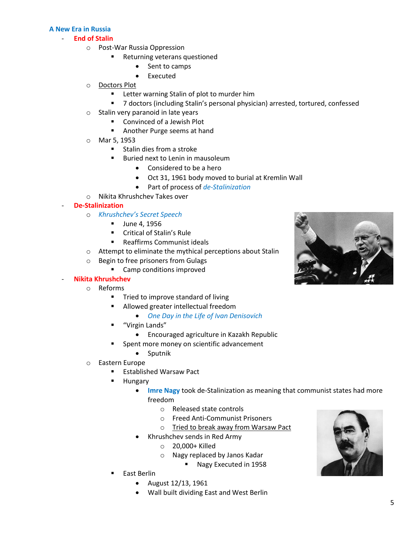#### **A New Era in Russia**

#### - **End of Stalin**

- o Post-War Russia Oppression
	- Returning veterans questioned
		- Sent to camps
		- Executed
- o Doctors Plot
	- **EXTER** Letter warning Stalin of plot to murder him
	- 7 doctors (including Stalin's personal physician) arrested, tortured, confessed
- o Stalin very paranoid in late years
	- Convinced of a Jewish Plot
	- **Another Purge seems at hand**
- o Mar 5, 1953
	- $\blacksquare$  Stalin dies from a stroke
	- **Buried next to Lenin in mausoleum** 
		- Considered to be a hero
		- Oct 31, 1961 body moved to burial at Kremlin Wall
		- Part of process of *de-Stalinization*
- o Nikita Khrushchev Takes over

#### - **De-Stalinization**

- o *Khrushchev's Secret Speech*
	- **June 4, 1956**
	- **EXECR** Critical of Stalin's Rule
	- Reaffirms Communist ideals
- o Attempt to eliminate the mythical perceptions about Stalin
- o Begin to free prisoners from Gulags
	- Camp conditions improved

#### - **Nikita Khrushchev**

- o Reforms
	- **Tried to improve standard of living**
	- **Allowed greater intellectual freedom** 
		- *One Day in the Life of Ivan Denisovich*
	- "Virgin Lands"
		- Encouraged agriculture in Kazakh Republic
	- Spent more money on scientific advancement
		- Sputnik
- o Eastern Europe
	- **Established Warsaw Pact**
	- **Hungary** 
		- **Imre Nagy** took de-Stalinization as meaning that communist states had more freedom
			- o Released state controls
			- o Freed Anti-Communist Prisoners
			- o Tried to break away from Warsaw Pact
		- Khrushchev sends in Red Army
			- o 20,000+ Killed
			- o Nagy replaced by Janos Kadar
				- **Nagy Executed in 1958**
	- East Berlin
		- August 12/13, 1961
		- Wall built dividing East and West Berlin